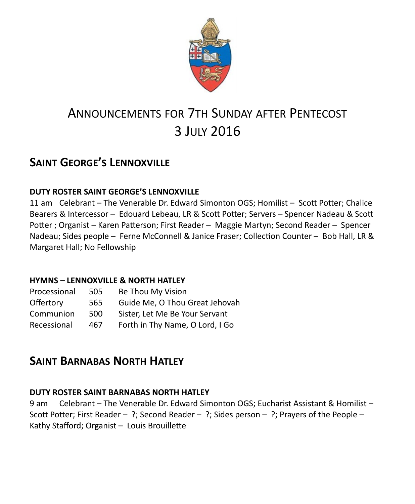

# ANNOUNCEMENTS FOR 7TH SUNDAY AFTER PENTECOST 3 JULY 2016

## **SAINT GEORGE'S LENNOXVILLE**

### **DUTY ROSTER SAINT GEORGE'S LENNOXVILLE**

11 am Celebrant – The Venerable Dr. Edward Simonton OGS; Homilist – Scott Potter; Chalice Bearers & Intercessor – Edouard Lebeau, LR & Scott Potter; Servers – Spencer Nadeau & Scott Potter ; Organist – Karen Patterson; First Reader – Maggie Martyn; Second Reader – Spencer Nadeau; Sides people – Ferne McConnell & Janice Fraser; Collection Counter – Bob Hall, LR & Margaret Hall; No Fellowship

### **HYMNS – LENNOXVILLE & NORTH HATLEY**

| Processional | 505 | Be Thou My Vision                                                |  |
|--------------|-----|------------------------------------------------------------------|--|
| Offertory    | 565 | Guide Me, O Thou Great Jehovah<br>Sister, Let Me Be Your Servant |  |
| Communion    | 500 |                                                                  |  |
| Recessional  | 467 | Forth in Thy Name, O Lord, I Go                                  |  |

## **SAINT BARNABAS NORTH HATLEY**

### **DUTY ROSTER SAINT BARNABAS NORTH HATLEY**

9 am Celebrant – The Venerable Dr. Edward Simonton OGS; Eucharist Assistant & Homilist – Scott Potter; First Reader – ?; Second Reader – ?; Sides person – ?; Prayers of the People – Kathy Stafford; Organist – Louis Brouillette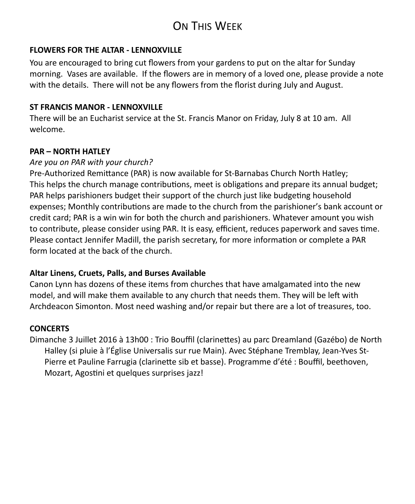## ON THIS WEEK

#### **FLOWERS FOR THE ALTAR - LENNOXVILLE**

You are encouraged to bring cut flowers from your gardens to put on the altar for Sunday morning. Vases are available. If the flowers are in memory of a loved one, please provide a note with the details. There will not be any flowers from the florist during July and August.

#### **ST FRANCIS MANOR - LENNOXVILLE**

There will be an Eucharist service at the St. Francis Manor on Friday, July 8 at 10 am. All welcome.

#### **PAR – NORTH HATLEY**

#### *Are you on PAR with your church?*

Pre-Authorized Remittance (PAR) is now available for St-Barnabas Church North Hatley; This helps the church manage contributions, meet is obligations and prepare its annual budget; PAR helps parishioners budget their support of the church just like budgeting household expenses; Monthly contributions are made to the church from the parishioner's bank account or credit card; PAR is a win win for both the church and parishioners. Whatever amount you wish to contribute, please consider using PAR. It is easy, efficient, reduces paperwork and saves time. Please contact Jennifer Madill, the parish secretary, for more information or complete a PAR form located at the back of the church.

#### **Altar Linens, Cruets, Palls, and Burses Available**

Canon Lynn has dozens of these items from churches that have amalgamated into the new model, and will make them available to any church that needs them. They will be left with Archdeacon Simonton. Most need washing and/or repair but there are a lot of treasures, too.

#### **CONCERTS**

Dimanche 3 Juillet 2016 à 13h00 : Trio Bouffil (clarinettes) au parc Dreamland (Gazébo) de North Halley (si pluie à l'Église Universalis sur rue Main). Avec Stéphane Tremblay, Jean-Yves St-Pierre et Pauline Farrugia (clarinette sib et basse). Programme d'été : Bouffil, beethoven, Mozart, Agostini et quelques surprises jazz!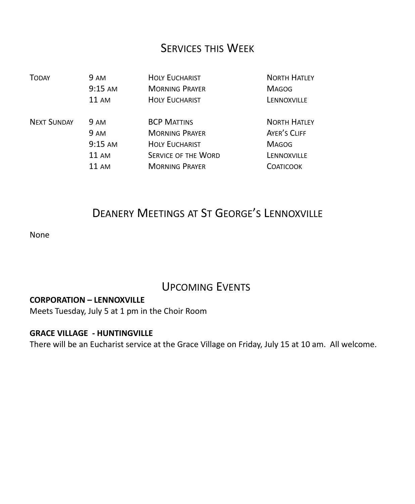### SERVICES THIS WEEK

| <b>TODAY</b>       | 9 AM              | <b>HOLY EUCHARIST</b>      | <b>NORTH HATLEY</b> |
|--------------------|-------------------|----------------------------|---------------------|
|                    | $9:15$ AM         | <b>MORNING PRAYER</b>      | <b>MAGOG</b>        |
|                    | $11 \text{ AM}$   | <b>HOLY EUCHARIST</b>      | LENNOXVILLE         |
| <b>NEXT SUNDAY</b> | <b>9 AM</b>       | <b>BCP MATTINS</b>         | <b>NORTH HATLEY</b> |
|                    | <b>9 AM</b>       | <b>MORNING PRAYER</b>      | AYER'S CLIFF        |
|                    | $9:15 \text{ AM}$ | <b>HOLY EUCHARIST</b>      | <b>MAGOG</b>        |
|                    | $11 \text{ AM}$   | <b>SERVICE OF THE WORD</b> | LENNOXVILLE         |
|                    | 11 AM             | <b>MORNING PRAYER</b>      | <b>COATICOOK</b>    |

## DEANERY MEETINGS AT ST GEORGE'S LENNOXVILLE

None

## UPCOMING EVENTS

#### **CORPORATION – LENNOXVILLE**

Meets Tuesday, July 5 at 1 pm in the Choir Room

### **GRACE VILLAGE - HUNTINGVILLE**

There will be an Eucharist service at the Grace Village on Friday, July 15 at 10 am. All welcome.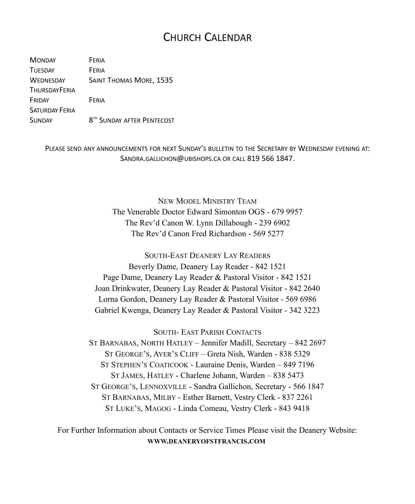### CHURCH CALENDAR

MONDAY FERIA TUESDAY **FERIA** WEDNESDAY SAINT THOMAS MORE, 1535 **THURSDAYFFRIA** FRIDAY FERIA SATURDAY FERIA **SUNDAY** 8<sup>TH</sup> SUNDAY AFTER PENTECOST

> PLEASE SEND ANY ANNOUNCEMENTS FOR NEXT SUNDAY'S BULLETIN TO THE SECRETARY BY WEDNESDAY EVENING AT: SANDRA.GALLICHON@UBISHOPS.CA OR CALL 819 566 1847.

> > NEW MODEL MINISTRY TEAM The Venerable Doctor Edward Simonton OGS - 679 9957 The Rev'd Canon W. Lynn Dillabough - 239 6902 The Rev'd Canon Fred Richardson - 569 5277

SOUTH-EAST DEANERY LAY READERS Beverly Dame, Deanery Lay Reader - 842 1521 Page Dame, Deanery Lay Reader & Pastoral Visitor - 842 1521 Joan Drinkwater, Deanery Lay Reader & Pastoral Visitor - 842 2640 Lorna Gordon, Deanery Lay Reader & Pastoral Visitor - 569 6986 Gabriel Kwenga, Deanery Lay Reader & Pastoral Visitor - 342 3223

SOUTH- EAST PARISH CONTACTS ST BARNABAS, NORTH HATLEY – Jennifer Madill, Secretary – 842 2697 ST GEORGE'S, AYER'S CLIFF – Greta Nish, Warden - 838 5329 ST STEPHEN'S COATICOOK - Lauraine Denis, Warden – 849 7196 ST JAMES, HATLEY - Charlene Johann, Warden – 838 5473 ST GEORGE'S, LENNOXVILLE - Sandra Gallichon, Secretary - 566 1847 ST BARNABAS, MILBY - Esther Barnett, Vestry Clerk - 837 2261 ST LUKE'S, MAGOG - Linda Comeau, Vestry Clerk - 843 9418

For Further Information about Contacts or Service Times Please visit the Deanery Website: **WWW.DEANERYOFSTFRANCIS.COM**